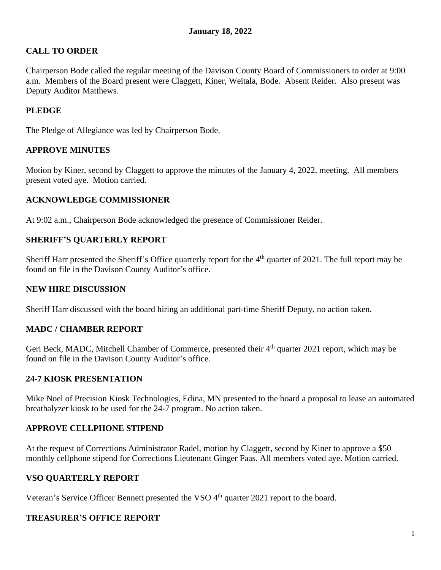## **CALL TO ORDER**

Chairperson Bode called the regular meeting of the Davison County Board of Commissioners to order at 9:00 a.m. Members of the Board present were Claggett, Kiner, Weitala, Bode. Absent Reider. Also present was Deputy Auditor Matthews.

## **PLEDGE**

The Pledge of Allegiance was led by Chairperson Bode.

## **APPROVE MINUTES**

Motion by Kiner, second by Claggett to approve the minutes of the January 4, 2022, meeting. All members present voted aye. Motion carried.

## **ACKNOWLEDGE COMMISSIONER**

At 9:02 a.m., Chairperson Bode acknowledged the presence of Commissioner Reider.

## **SHERIFF'S QUARTERLY REPORT**

Sheriff Harr presented the Sheriff's Office quarterly report for the 4<sup>th</sup> quarter of 2021. The full report may be found on file in the Davison County Auditor's office.

#### **NEW HIRE DISCUSSION**

Sheriff Harr discussed with the board hiring an additional part-time Sheriff Deputy, no action taken.

## **MADC / CHAMBER REPORT**

Geri Beck, MADC, Mitchell Chamber of Commerce, presented their 4<sup>th</sup> quarter 2021 report, which may be found on file in the Davison County Auditor's office.

#### **24-7 KIOSK PRESENTATION**

Mike Noel of Precision Kiosk Technologies, Edina, MN presented to the board a proposal to lease an automated breathalyzer kiosk to be used for the 24-7 program. No action taken.

#### **APPROVE CELLPHONE STIPEND**

At the request of Corrections Administrator Radel, motion by Claggett, second by Kiner to approve a \$50 monthly cellphone stipend for Corrections Lieutenant Ginger Faas. All members voted aye. Motion carried.

## **VSO QUARTERLY REPORT**

Veteran's Service Officer Bennett presented the VSO 4<sup>th</sup> quarter 2021 report to the board.

# **TREASURER'S OFFICE REPORT**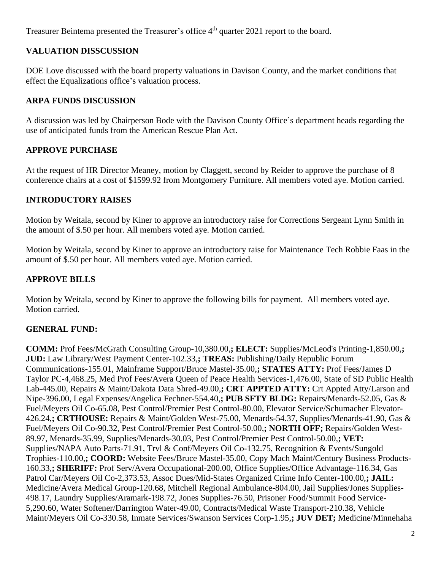Treasurer Beintema presented the Treasurer's office 4<sup>th</sup> quarter 2021 report to the board.

# **VALUATION DISSCUSSION**

DOE Love discussed with the board property valuations in Davison County, and the market conditions that effect the Equalizations office's valuation process.

## **ARPA FUNDS DISCUSSION**

A discussion was led by Chairperson Bode with the Davison County Office's department heads regarding the use of anticipated funds from the American Rescue Plan Act.

# **APPROVE PURCHASE**

At the request of HR Director Meaney, motion by Claggett, second by Reider to approve the purchase of 8 conference chairs at a cost of \$1599.92 from Montgomery Furniture. All members voted aye. Motion carried.

# **INTRODUCTORY RAISES**

Motion by Weitala, second by Kiner to approve an introductory raise for Corrections Sergeant Lynn Smith in the amount of \$.50 per hour. All members voted aye. Motion carried.

Motion by Weitala, second by Kiner to approve an introductory raise for Maintenance Tech Robbie Faas in the amount of \$.50 per hour. All members voted aye. Motion carried.

# **APPROVE BILLS**

Motion by Weitala, second by Kiner to approve the following bills for payment. All members voted aye. Motion carried.

## **GENERAL FUND:**

**COMM:** Prof Fees/McGrath Consulting Group-10,380.00,**; ELECT:** Supplies/McLeod's Printing-1,850.00,**; JUD:** Law Library/West Payment Center-102.33,**; TREAS:** Publishing/Daily Republic Forum Communications-155.01, Mainframe Support/Bruce Mastel-35.00,**; STATES ATTY:** Prof Fees/James D Taylor PC-4,468.25, Med Prof Fees/Avera Queen of Peace Health Services-1,476.00, State of SD Public Health Lab-445.00, Repairs & Maint/Dakota Data Shred-49.00,**; CRT APPTED ATTY:** Crt Appted Atty/Larson and Nipe-396.00, Legal Expenses/Angelica Fechner-554.40,**; PUB SFTY BLDG:** Repairs/Menards-52.05, Gas & Fuel/Meyers Oil Co-65.08, Pest Control/Premier Pest Control-80.00, Elevator Service/Schumacher Elevator-426.24,**; CRTHOUSE:** Repairs & Maint/Golden West-75.00, Menards-54.37, Supplies/Menards-41.90, Gas & Fuel/Meyers Oil Co-90.32, Pest Control/Premier Pest Control-50.00,**; NORTH OFF;** Repairs/Golden West-89.97, Menards-35.99, Supplies/Menards-30.03, Pest Control/Premier Pest Control-50.00,**; VET:** Supplies/NAPA Auto Parts-71.91, Trvl & Conf/Meyers Oil Co-132.75, Recognition & Events/Sungold Trophies-110.00,**; COORD:** Website Fees/Bruce Mastel-35.00, Copy Mach Maint/Century Business Products-160.33,**; SHERIFF:** Prof Serv/Avera Occupational-200.00, Office Supplies/Office Advantage-116.34, Gas Patrol Car/Meyers Oil Co-2,373.53, Assoc Dues/Mid-States Organized Crime Info Center-100.00,**; JAIL:** Medicine/Avera Medical Group-120.68, Mitchell Regional Ambulance-804.00, Jail Supplies/Jones Supplies-498.17, Laundry Supplies/Aramark-198.72, Jones Supplies-76.50, Prisoner Food/Summit Food Service-5,290.60, Water Softener/Darrington Water-49.00, Contracts/Medical Waste Transport-210.38, Vehicle Maint/Meyers Oil Co-330.58, Inmate Services/Swanson Services Corp-1.95,**; JUV DET;** Medicine/Minnehaha